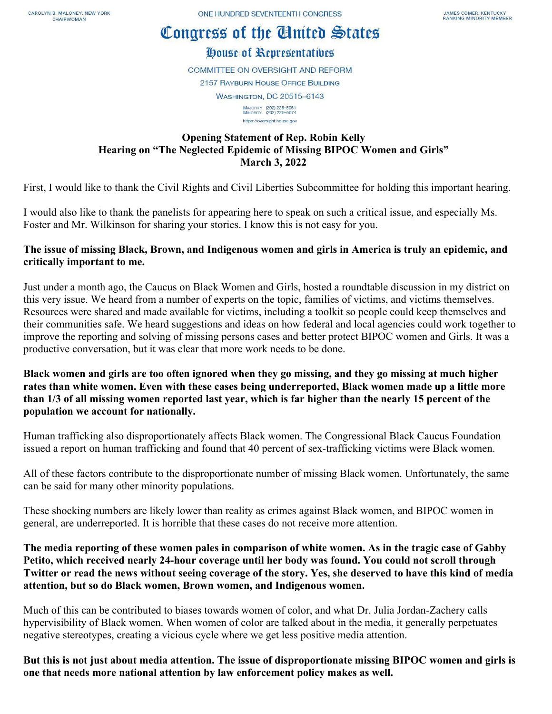# Congress of the Cinited States

# House of Representatives

**COMMITTEE ON OVERSIGHT AND REFORM 2157 RAYBURN HOUSE OFFICE BUILDING WASHINGTON, DC 20515-6143** MAJORITY (202) 225-5051<br>MINORITY (202) 225-5074

https://oversight.house.gov

### **Opening Statement of Rep. Robin Kelly Hearing on "The Neglected Epidemic of Missing BIPOC Women and Girls" March 3, 2022**

First, I would like to thank the Civil Rights and Civil Liberties Subcommittee for holding this important hearing.

I would also like to thank the panelists for appearing here to speak on such a critical issue, and especially Ms. Foster and Mr. Wilkinson for sharing your stories. I know this is not easy for you.

## **The issue of missing Black, Brown, and Indigenous women and girls in America is truly an epidemic, and critically important to me.**

Just under a month ago, the Caucus on Black Women and Girls, hosted a roundtable discussion in my district on this very issue. We heard from a number of experts on the topic, families of victims, and victims themselves. Resources were shared and made available for victims, including a toolkit so people could keep themselves and their communities safe. We heard suggestions and ideas on how federal and local agencies could work together to improve the reporting and solving of missing persons cases and better protect BIPOC women and Girls. It was a productive conversation, but it was clear that more work needs to be done.

**Black women and girls are too often ignored when they go missing, and they go missing at much higher rates than white women. Even with these cases being underreported, Black women made up a little more than 1/3 of all missing women reported last year, which is far higher than the nearly 15 percent of the population we account for nationally.** 

Human trafficking also disproportionately affects Black women. The Congressional Black Caucus Foundation issued a report on human trafficking and found that 40 percent of sex-trafficking victims were Black women.

All of these factors contribute to the disproportionate number of missing Black women. Unfortunately, the same can be said for many other minority populations.

These shocking numbers are likely lower than reality as crimes against Black women, and BIPOC women in general, are underreported. It is horrible that these cases do not receive more attention.

**The media reporting of these women pales in comparison of white women. As in the tragic case of Gabby Petito, which received nearly 24-hour coverage until her body was found. You could not scroll through Twitter or read the news without seeing coverage of the story. Yes, she deserved to have this kind of media attention, but so do Black women, Brown women, and Indigenous women.** 

Much of this can be contributed to biases towards women of color, and what Dr. Julia Jordan-Zachery calls hypervisibility of Black women. When women of color are talked about in the media, it generally perpetuates negative stereotypes, creating a vicious cycle where we get less positive media attention.

**But this is not just about media attention. The issue of disproportionate missing BIPOC women and girls is one that needs more national attention by law enforcement policy makes as well.**